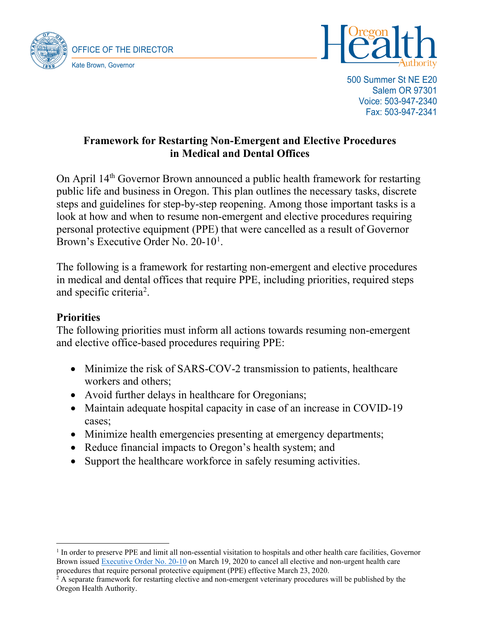



500 Summer St NE E20 Salem OR 97301 Voice: 503-947-2340 Fax: 503-947-2341

## **Framework for Restarting Non-Emergent and Elective Procedures in Medical and Dental Offices**

On April 14<sup>th</sup> Governor Brown announced a public health framework for restarting public life and business in Oregon. This plan outlines the necessary tasks, discrete steps and guidelines for step-by-step reopening. Among those important tasks is a look at how and when to resume non-emergent and elective procedures requiring personal protective equipment (PPE) that were cancelled as a result of Governor Brown's Executive Order No. 20-[1](#page-0-0)0<sup>1</sup>.

The following is a framework for restarting non-emergent and elective procedures in medical and dental offices that require PPE, including priorities, required steps and specific criteria<sup>[2](#page-0-1)</sup>.

## **Priorities**

The following priorities must inform all actions towards resuming non-emergent and elective office-based procedures requiring PPE:

- Minimize the risk of SARS-COV-2 transmission to patients, healthcare workers and others;
- Avoid further delays in healthcare for Oregonians;
- Maintain adequate hospital capacity in case of an increase in COVID-19 cases;
- Minimize health emergencies presenting at emergency departments;
- Reduce financial impacts to Oregon's health system; and
- Support the healthcare workforce in safely resuming activities.

<span id="page-0-0"></span><sup>&</sup>lt;sup>1</sup> In order to preserve PPE and limit all non-essential visitation to hospitals and other health care facilities, Governor Brown issued [Executive Order No. 20-10](https://www.oregon.gov/gov/Documents/executive_orders/eo_20-10.pdf) on March 19, 2020 to cancel all elective and non-urgent health care procedures that require personal protective equipment (PPE) effective March 23, 2020.

<span id="page-0-1"></span> $^2$  A separate framework for restarting elective and non-emergent veterinary procedures will be published by the Oregon Health Authority.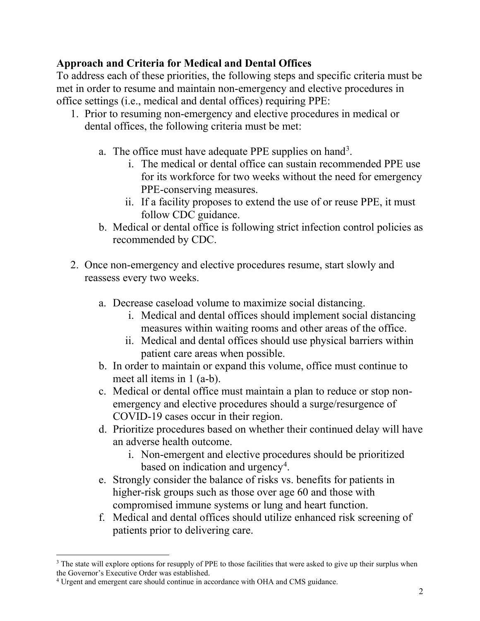## **Approach and Criteria for Medical and Dental Offices**

To address each of these priorities, the following steps and specific criteria must be met in order to resume and maintain non-emergency and elective procedures in office settings (i.e., medical and dental offices) requiring PPE:

- 1. Prior to resuming non-emergency and elective procedures in medical or dental offices, the following criteria must be met:
	- a. The office must have adequate PPE supplies on hand<sup>3</sup>.
		- i. The medical or dental office can sustain recommended PPE use for its workforce for two weeks without the need for emergency PPE-conserving measures.
		- ii. If a facility proposes to extend the use of or reuse PPE, it must follow CDC guidance.
	- b. Medical or dental office is following strict infection control policies as recommended by CDC.
- 2. Once non-emergency and elective procedures resume, start slowly and reassess every two weeks.
	- a. Decrease caseload volume to maximize social distancing.
		- i. Medical and dental offices should implement social distancing measures within waiting rooms and other areas of the office.
		- ii. Medical and dental offices should use physical barriers within patient care areas when possible.
	- b. In order to maintain or expand this volume, office must continue to meet all items in 1 (a-b).
	- c. Medical or dental office must maintain a plan to reduce or stop nonemergency and elective procedures should a surge/resurgence of COVID-19 cases occur in their region.
	- d. Prioritize procedures based on whether their continued delay will have an adverse health outcome.
		- i. Non-emergent and elective procedures should be prioritized based on indication and urgency<sup>[4](#page-1-1)</sup>.
	- e. Strongly consider the balance of risks vs. benefits for patients in higher-risk groups such as those over age 60 and those with compromised immune systems or lung and heart function.
	- f. Medical and dental offices should utilize enhanced risk screening of patients prior to delivering care.

<span id="page-1-0"></span><sup>&</sup>lt;sup>3</sup> The state will explore options for resupply of PPE to those facilities that were asked to give up their surplus when the Governor's Executive Order was established.

<span id="page-1-1"></span><sup>4</sup> Urgent and emergent care should continue in accordance with OHA and CMS guidance.